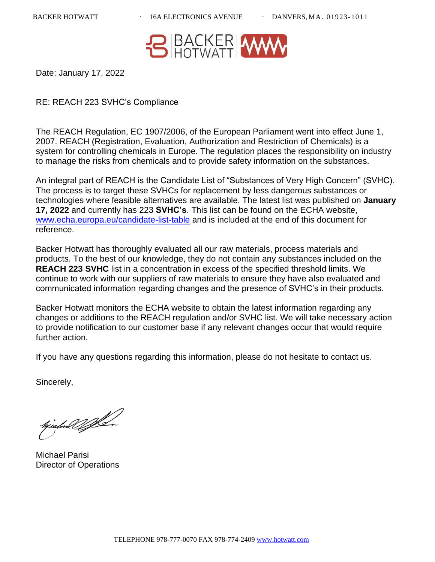

Date: January 17, 2022

RE: REACH 223 SVHC's Compliance

The REACH Regulation, EC 1907/2006, of the European Parliament went into effect June 1, 2007. REACH (Registration, Evaluation, Authorization and Restriction of Chemicals) is a system for controlling chemicals in Europe. The regulation places the responsibility on industry to manage the risks from chemicals and to provide safety information on the substances.

An integral part of REACH is the Candidate List of "Substances of Very High Concern" (SVHC). The process is to target these SVHCs for replacement by less dangerous substances or technologies where feasible alternatives are available. The latest list was published on **January 17, 2022** and currently has 223 **SVHC's**. This list can be found on the ECHA website, [www.echa.europa.eu/candidate-list-table](http://www.echa.europa.eu/candidate-list-table) and is included at the end of this document for reference.

Backer Hotwatt has thoroughly evaluated all our raw materials, process materials and products. To the best of our knowledge, they do not contain any substances included on the **REACH 223 SVHC** list in a concentration in excess of the specified threshold limits. We continue to work with our suppliers of raw materials to ensure they have also evaluated and communicated information regarding changes and the presence of SVHC's in their products.

Backer Hotwatt monitors the ECHA website to obtain the latest information regarding any changes or additions to the REACH regulation and/or SVHC list. We will take necessary action to provide notification to our customer base if any relevant changes occur that would require further action.

If you have any questions regarding this information, please do not hesitate to contact us.

Sincerely,

hjishol YA

Michael Parisi Director of Operations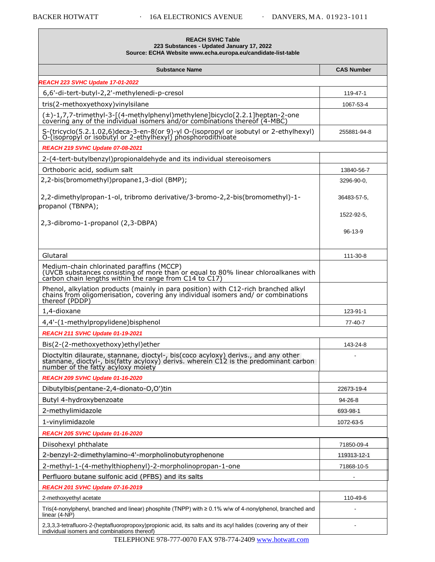| <b>REACH SVHC Table</b><br>223 Substances - Updated January 17, 2022<br>Source: ECHA Website www.echa.europa.eu/candidate-list-table                                                                             |                   |
|------------------------------------------------------------------------------------------------------------------------------------------------------------------------------------------------------------------|-------------------|
| <b>Substance Name</b>                                                                                                                                                                                            | <b>CAS Number</b> |
| <b>REACH 223 SVHC Update 17-01-2022</b>                                                                                                                                                                          |                   |
| 6,6'-di-tert-butyl-2,2'-methylenedi-p-cresol                                                                                                                                                                     | 119-47-1          |
| tris(2-methoxyethoxy) vinylsilane                                                                                                                                                                                | 1067-53-4         |
| (±)-1,7,7-trimethyl-3-[(4-methylphenyl)methylene]bicyclo[2.2.1]heptan-2-one<br>covering any of the individual isomers and/or combinations thereof (4-MBC)                                                        |                   |
| S-(tricyclo(5.2.1.02,6)deca-3-en-8(or 9)-yl O-(isopropyl or isobutyl or 2-ethylhexyl)<br>O-(isopropyl or isobutyl or 2-ethylhexyl) phosphorodithioate                                                            | 255881-94-8       |
| <b>REACH 219 SVHC Update 07-08-2021</b>                                                                                                                                                                          |                   |
| 2-(4-tert-butylbenzyl) propionaldehyde and its individual stereoisomers                                                                                                                                          |                   |
| Orthoboric acid, sodium salt                                                                                                                                                                                     | 13840-56-7        |
| 2,2-bis(bromomethyl)propane1,3-diol (BMP);                                                                                                                                                                       | 3296-90-0.        |
| 2,2-dimethylpropan-1-ol, tribromo derivative/3-bromo-2,2-bis(bromomethyl)-1-<br>propanol (TBNPA);                                                                                                                | 36483-57-5,       |
| 2,3-dibromo-1-propanol (2,3-DBPA)                                                                                                                                                                                | 1522-92-5,        |
|                                                                                                                                                                                                                  | $96 - 13 - 9$     |
| Glutaral                                                                                                                                                                                                         | 111-30-8          |
| Medium-chain chlorinated paraffins (MCCP)<br>(UVCB substances consisting of more than or equal to 80% linear chloroalkanes with<br>carbon chain lengths within the range from C14 to C17)                        |                   |
| Phenol, alkylation products (mainly in para position) with C12-rich branched alkyl chains from oligomerisation, covering any individual isomers and/ or combinations<br>thereof (PDDP)                           |                   |
| 1,4-dioxane                                                                                                                                                                                                      | 123-91-1          |
| 4,4'-(1-methylpropylidene)bisphenol                                                                                                                                                                              | 77-40-7           |
| <b>REACH 211 SVHC Update 01-19-2021</b>                                                                                                                                                                          |                   |
| Bis(2-(2-methoxyethoxy)ethyl)ether                                                                                                                                                                               | 143-24-8          |
| Dioctyltin dilaurate, stannane, dioctyl-, bis(coco acyloxy) derivs., and any other<br>stannane, dioctyl-, bis(fatty acyloxy) derivs. wherein C12 is the predominant carbon<br>number of the fatty acyloxy moiety |                   |
| <b>REACH 209 SVHC Update 01-16-2020</b>                                                                                                                                                                          |                   |
| Dibutylbis(pentane-2,4-dionato-O,O')tin                                                                                                                                                                          | 22673-19-4        |
| Butyl 4-hydroxybenzoate                                                                                                                                                                                          | 94-26-8           |
| 2-methylimidazole                                                                                                                                                                                                | 693-98-1          |
| 1-vinylimidazole                                                                                                                                                                                                 | 1072-63-5         |
| REACH 205 SVHC Update 01-16-2020                                                                                                                                                                                 |                   |
| Diisohexyl phthalate                                                                                                                                                                                             | 71850-09-4        |
| 2-benzyl-2-dimethylamino-4'-morpholinobutyrophenone                                                                                                                                                              | 119313-12-1       |
| 2-methyl-1-(4-methylthiophenyl)-2-morpholinopropan-1-one                                                                                                                                                         | 71868-10-5        |
| Perfluoro butane sulfonic acid (PFBS) and its salts                                                                                                                                                              |                   |
| <b>REACH 201 SVHC Update 07-16-2019</b>                                                                                                                                                                          |                   |
| 2-methoxyethyl acetate                                                                                                                                                                                           | 110-49-6          |
| Tris(4-nonylphenyl, branched and linear) phosphite (TNPP) with $\geq 0.1\%$ w/w of 4-nonylphenol, branched and<br>linear (4-NP)                                                                                  |                   |
| 2,3,3,3-tetrafluoro-2-(heptafluoropropoxy)propionic acid, its salts and its acyl halides (covering any of their<br>individual isomers and combinations thereof)                                                  |                   |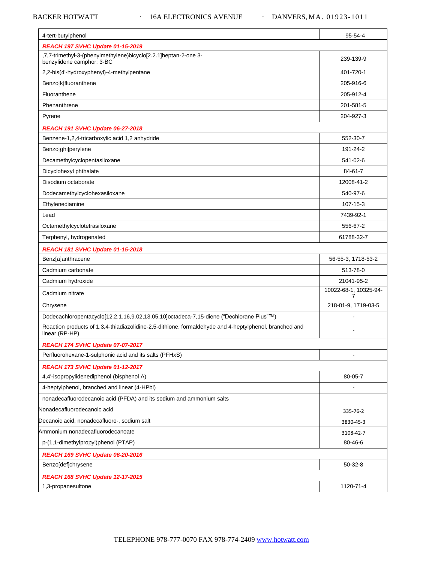## BACKER HOTWATT 16A ELECTRONICS AVENUE · DANVERS, MA. 01923-1011

| 4-tert-butylphenol                                                                                                       | 95-54-4                    |
|--------------------------------------------------------------------------------------------------------------------------|----------------------------|
| <b>REACH 197 SVHC Update 01-15-2019</b>                                                                                  |                            |
| .7,7-trimethyl-3-(phenylmethylene)bicyclo[2.2.1]heptan-2-one 3-<br>benzylidene camphor; 3-BC                             | 239-139-9                  |
| 2,2-bis(4'-hydroxyphenyl)-4-methylpentane                                                                                | 401-720-1                  |
| Benzo[k]fluoranthene                                                                                                     | 205-916-6                  |
| Fluoranthene                                                                                                             | 205-912-4                  |
| Phenanthrene                                                                                                             | 201-581-5                  |
| Pyrene                                                                                                                   | 204-927-3                  |
| <b>REACH 191 SVHC Update 06-27-2018</b>                                                                                  |                            |
| Benzene-1,2,4-tricarboxylic acid 1,2 anhydride                                                                           | 552-30-7                   |
| Benzo[ghi]perylene                                                                                                       | 191-24-2                   |
| Decamethylcyclopentasiloxane                                                                                             | 541-02-6                   |
| Dicyclohexyl phthalate                                                                                                   | 84-61-7                    |
| Disodium octaborate                                                                                                      | 12008-41-2                 |
| Dodecamethylcyclohexasiloxane                                                                                            | 540-97-6                   |
| Ethylenediamine                                                                                                          | 107-15-3                   |
| Lead                                                                                                                     | 7439-92-1                  |
| Octamethylcyclotetrasiloxane                                                                                             | 556-67-2                   |
| Terphenyl, hydrogenated                                                                                                  | 61788-32-7                 |
| <b>REACH 181 SVHC Update 01-15-2018</b>                                                                                  |                            |
| Benz[a]anthracene                                                                                                        | 56-55-3, 1718-53-2         |
| Cadmium carbonate                                                                                                        | 513-78-0                   |
| Cadmium hydroxide                                                                                                        | 21041-95-2                 |
| Cadmium nitrate                                                                                                          | 10022-68-1, 10325-94-<br>7 |
| Chrysene                                                                                                                 | 218-01-9, 1719-03-5        |
| Dodecachloropentacyclo[12.2.1.16,9.02,13.05,10]octadeca-7,15-diene ("Dechlorane Plus"™)                                  |                            |
| Reaction products of 1,3,4-thiadiazolidine-2,5-dithione, formaldehyde and 4-heptylphenol, branched and<br>linear (RP-HP) |                            |
| REACH 174 SVHC Update 07-07-2017                                                                                         |                            |
| Perfluorohexane-1-sulphonic acid and its salts (PFHxS)                                                                   |                            |
| <b>REACH 173 SVHC Update 01-12-2017</b>                                                                                  |                            |
| 4,4'-isopropylidenediphenol (bisphenol A)                                                                                | 80-05-7                    |
| 4-heptylphenol, branched and linear (4-HPbl)                                                                             |                            |
| nonadecafluorodecanoic acid (PFDA) and its sodium and ammonium salts                                                     |                            |
| Nonadecafluorodecanoic acid                                                                                              | 335-76-2                   |
| Decanoic acid, nonadecafluoro-, sodium salt                                                                              | 3830-45-3                  |
| Ammonium nonadecafluorodecanoate                                                                                         | 3108-42-7                  |
| p-(1,1-dimethylpropyl)phenol (PTAP)                                                                                      | 80-46-6                    |
| REACH 169 SVHC Update 06-20-2016                                                                                         |                            |
| Benzo[def]chrysene                                                                                                       | 50-32-8                    |
| REACH 168 SVHC Update 12-17-2015                                                                                         |                            |
| 1,3-propanesultone                                                                                                       | 1120-71-4                  |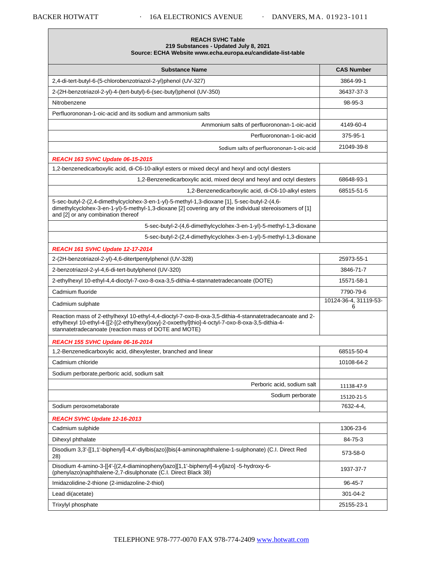Г

| <b>REACH SVHC Table</b><br>219 Substances - Updated July 8, 2021<br>Source: ECHA Website www.echa.europa.eu/candidate-list-table                                                                                                                                     |                            |
|----------------------------------------------------------------------------------------------------------------------------------------------------------------------------------------------------------------------------------------------------------------------|----------------------------|
| <b>Substance Name</b>                                                                                                                                                                                                                                                | <b>CAS Number</b>          |
| 2,4-di-tert-butyl-6-(5-chlorobenzotriazol-2-yl)phenol (UV-327)                                                                                                                                                                                                       | 3864-99-1                  |
| 2-(2H-benzotriazol-2-yl)-4-(tert-butyl)-6-(sec-butyl)phenol (UV-350)                                                                                                                                                                                                 | 36437-37-3                 |
| Nitrobenzene                                                                                                                                                                                                                                                         | 98-95-3                    |
| Perfluorononan-1-oic-acid and its sodium and ammonium salts                                                                                                                                                                                                          |                            |
| Ammonium salts of perfluorononan-1-oic-acid                                                                                                                                                                                                                          | 4149-60-4                  |
| Perfluorononan-1-oic-acid                                                                                                                                                                                                                                            | 375-95-1                   |
| Sodium salts of perfluorononan-1-oic-acid                                                                                                                                                                                                                            | 21049-39-8                 |
| <b>REACH 163 SVHC Update 06-15-2015</b>                                                                                                                                                                                                                              |                            |
| 1,2-benzenedicarboxylic acid, di-C6-10-alkyl esters or mixed decyl and hexyl and octyl diesters                                                                                                                                                                      |                            |
| 1,2-Benzenedicarboxylic acid, mixed decyl and hexyl and octyl diesters                                                                                                                                                                                               | 68648-93-1                 |
| 1,2-Benzenedicarboxylic acid, di-C6-10-alkyl esters                                                                                                                                                                                                                  | 68515-51-5                 |
| 5-sec-butyl-2-(2,4-dimethylcyclohex-3-en-1-yl)-5-methyl-1,3-dioxane [1], 5-sec-butyl-2-(4,6-<br>dimethylcyclohex-3-en-1-yl)-5-methyl-1,3-dioxane [2] covering any of the individual stereoisomers of [1]<br>and [2] or any combination thereof                       |                            |
| 5-sec-butyl-2-(4,6-dimethylcyclohex-3-en-1-yl)-5-methyl-1,3-dioxane                                                                                                                                                                                                  |                            |
| 5-sec-butyl-2-(2,4-dimethylcyclohex-3-en-1-yl)-5-methyl-1,3-dioxane                                                                                                                                                                                                  |                            |
| REACH 161 SVHC Update 12-17-2014                                                                                                                                                                                                                                     |                            |
| 2-(2H-benzotriazol-2-yl)-4,6-ditertpentylphenol (UV-328)                                                                                                                                                                                                             | 25973-55-1                 |
| 2-benzotriazol-2-yl-4,6-di-tert-butylphenol (UV-320)                                                                                                                                                                                                                 | 3846-71-7                  |
| 2-ethylhexyl 10-ethyl-4,4-dioctyl-7-oxo-8-oxa-3,5-dithia-4-stannatetradecanoate (DOTE)                                                                                                                                                                               | 15571-58-1                 |
| Cadmium fluoride                                                                                                                                                                                                                                                     | 7790-79-6                  |
| Cadmium sulphate                                                                                                                                                                                                                                                     | 10124-36-4, 31119-53-<br>6 |
| Reaction mass of 2-ethylhexyl 10-ethyl-4,4-dioctyl-7-oxo-8-oxa-3,5-dithia-4-stannatetradecanoate and 2-<br>ethylhexyl 10-ethyl-4-[[2-[(2-ethylhexyl)oxy]-2-oxoethyl]thio]-4-octyl-7-oxo-8-oxa-3,5-dithia-4-<br>stannatetradecanoate (reaction mass of DOTE and MOTE) |                            |
| REACH 155 SVHC Update 06-16-2014                                                                                                                                                                                                                                     |                            |
| 1,2-Benzenedicarboxylic acid, dihexylester, branched and linear                                                                                                                                                                                                      | 68515-50-4                 |
| Cadmium chloride                                                                                                                                                                                                                                                     | 10108-64-2                 |
| Sodium perborate, perboric acid, sodium salt                                                                                                                                                                                                                         |                            |
| Perboric acid, sodium salt                                                                                                                                                                                                                                           | 11138-47-9                 |
| Sodium perborate                                                                                                                                                                                                                                                     | 15120-21-5                 |
| Sodium peroxometaborate                                                                                                                                                                                                                                              | 7632-4-4.                  |
| REACH SVHC Update 12-16-2013                                                                                                                                                                                                                                         |                            |
| Cadmium sulphide                                                                                                                                                                                                                                                     | 1306-23-6                  |
| Dihexyl phthalate                                                                                                                                                                                                                                                    | 84-75-3                    |
| Disodium 3,3'-[[1,1'-biphenyl]-4,4'-diylbis(azo)]bis(4-aminonaphthalene-1-sulphonate) (C.I. Direct Red<br>28)                                                                                                                                                        | 573-58-0                   |
| Disodium 4-amino-3-[[4'-[(2,4-diaminophenyl)azo][1,1'-biphenyl]-4-yl]azo] -5-hydroxy-6-<br>(phenylazo)naphthalene-2,7-disulphonate (C.I. Direct Black 38)                                                                                                            | 1937-37-7                  |
| Imidazolidine-2-thione (2-imidazoline-2-thiol)                                                                                                                                                                                                                       | 96-45-7                    |
| Lead di(acetate)                                                                                                                                                                                                                                                     | 301-04-2                   |
| Trixylyl phosphate                                                                                                                                                                                                                                                   | 25155-23-1                 |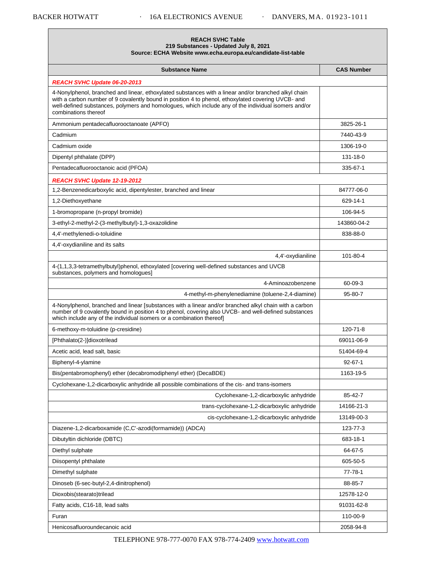| <b>REACH SVHC Table</b>                                      |
|--------------------------------------------------------------|
| 219 Substances - Updated July 8, 2021                        |
| Source: ECHA Website www.echa.europa.eu/candidate-list-table |

| <b>Substance Name</b>                                                                                                                                                                                                                                                                                                                      | <b>CAS Number</b> |
|--------------------------------------------------------------------------------------------------------------------------------------------------------------------------------------------------------------------------------------------------------------------------------------------------------------------------------------------|-------------------|
| REACH SVHC Update 06-20-2013                                                                                                                                                                                                                                                                                                               |                   |
| 4-Nonylphenol, branched and linear, ethoxylated substances with a linear and/or branched alkyl chain<br>with a carbon number of 9 covalently bound in position 4 to phenol, ethoxylated covering UVCB- and<br>well-defined substances, polymers and homologues, which include any of the individual isomers and/or<br>combinations thereof |                   |
| Ammonium pentadecafluorooctanoate (APFO)                                                                                                                                                                                                                                                                                                   | 3825-26-1         |
| Cadmium                                                                                                                                                                                                                                                                                                                                    | 7440-43-9         |
| Cadmium oxide                                                                                                                                                                                                                                                                                                                              | 1306-19-0         |
| Dipentyl phthalate (DPP)                                                                                                                                                                                                                                                                                                                   | 131-18-0          |
| Pentadecafluorooctanoic acid (PFOA)                                                                                                                                                                                                                                                                                                        | 335-67-1          |
| REACH SVHC Update 12-19-2012                                                                                                                                                                                                                                                                                                               |                   |
| 1,2-Benzenedicarboxylic acid, dipentylester, branched and linear                                                                                                                                                                                                                                                                           | 84777-06-0        |
| 1,2-Diethoxyethane                                                                                                                                                                                                                                                                                                                         | 629-14-1          |
| 1-bromopropane (n-propyl bromide)                                                                                                                                                                                                                                                                                                          | 106-94-5          |
| 3-ethyl-2-methyl-2-(3-methylbutyl)-1,3-oxazolidine                                                                                                                                                                                                                                                                                         | 143860-04-2       |
| 4,4'-methylenedi-o-toluidine                                                                                                                                                                                                                                                                                                               | 838-88-0          |
| 4,4'-oxydianiline and its salts                                                                                                                                                                                                                                                                                                            |                   |
| 4,4'-oxydianiline                                                                                                                                                                                                                                                                                                                          | 101-80-4          |
| 4-(1,1,3,3-tetramethylbutyl)phenol, ethoxylated [covering well-defined substances and UVCB<br>substances, polymers and homologues]                                                                                                                                                                                                         |                   |
| 4-Aminoazobenzene                                                                                                                                                                                                                                                                                                                          | 60-09-3           |
| 4-methyl-m-phenylenediamine (toluene-2,4-diamine)                                                                                                                                                                                                                                                                                          | 95-80-7           |
| 4-Nonylphenol, branched and linear [substances with a linear and/or branched alkyl chain with a carbon<br>number of 9 covalently bound in position 4 to phenol, covering also UVCB- and well-defined substances<br>which include any of the individual isomers or a combination thereof]                                                   |                   |
| 6-methoxy-m-toluidine (p-cresidine)                                                                                                                                                                                                                                                                                                        | 120-71-8          |
| [Phthalato(2-)]dioxotrilead                                                                                                                                                                                                                                                                                                                | 69011-06-9        |
| Acetic acid, lead salt, basic                                                                                                                                                                                                                                                                                                              | 51404-69-4        |
| Biphenyl-4-ylamine                                                                                                                                                                                                                                                                                                                         | $92 - 67 - 1$     |
| Bis(pentabromophenyl) ether (decabromodiphenyl ether) (DecaBDE)                                                                                                                                                                                                                                                                            | 1163-19-5         |
| Cyclohexane-1,2-dicarboxylic anhydride all possible combinations of the cis- and trans-isomers                                                                                                                                                                                                                                             |                   |
| Cyclohexane-1,2-dicarboxylic anhydride                                                                                                                                                                                                                                                                                                     | 85-42-7           |
| trans-cyclohexane-1,2-dicarboxylic anhydride                                                                                                                                                                                                                                                                                               | 14166-21-3        |
| cis-cyclohexane-1,2-dicarboxylic anhydride                                                                                                                                                                                                                                                                                                 | 13149-00-3        |
| Diazene-1,2-dicarboxamide (C,C'-azodi(formamide)) (ADCA)                                                                                                                                                                                                                                                                                   | 123-77-3          |
| Dibutyltin dichloride (DBTC)                                                                                                                                                                                                                                                                                                               | 683-18-1          |
| Diethyl sulphate                                                                                                                                                                                                                                                                                                                           | 64-67-5           |
| Diisopentyl phthalate                                                                                                                                                                                                                                                                                                                      | 605-50-5          |
| Dimethyl sulphate                                                                                                                                                                                                                                                                                                                          | 77-78-1           |
| Dinoseb (6-sec-butyl-2,4-dinitrophenol)                                                                                                                                                                                                                                                                                                    | 88-85-7           |
| Dioxobis(stearato)trilead                                                                                                                                                                                                                                                                                                                  | 12578-12-0        |
| Fatty acids, C16-18, lead salts                                                                                                                                                                                                                                                                                                            | 91031-62-8        |
| Furan                                                                                                                                                                                                                                                                                                                                      | 110-00-9          |
| Henicosafluoroundecanoic acid                                                                                                                                                                                                                                                                                                              | 2058-94-8         |

TELEPHONE 978-777-0070 FAX 978-774-2409 [www.hotwatt.com](http://www.hotwatt.com/)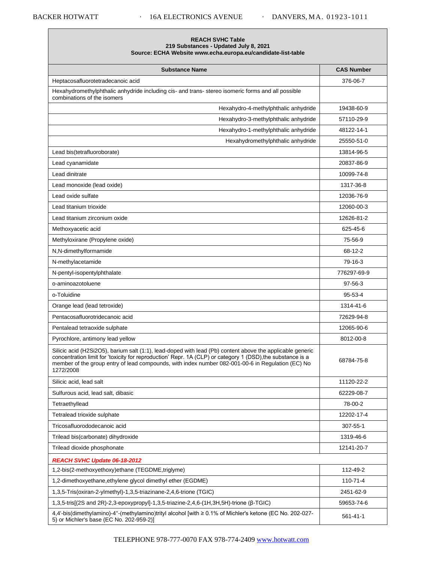## **REACH SVHC Table 219 Substances - Updated July 8, 2021 Source: ECHA Websit[e www.echa.europa.eu/candidate-list-table](http://www.echa.europa.eu/candidate-list-table)**

| <b>Substance Name</b>                                                                                                                                                                                                                                                                                                                     | <b>CAS Number</b> |
|-------------------------------------------------------------------------------------------------------------------------------------------------------------------------------------------------------------------------------------------------------------------------------------------------------------------------------------------|-------------------|
| Heptacosafluorotetradecanoic acid                                                                                                                                                                                                                                                                                                         | 376-06-7          |
| Hexahydromethylphthalic anhydride including cis- and trans-stereo isomeric forms and all possible<br>combinations of the isomers                                                                                                                                                                                                          |                   |
| Hexahydro-4-methylphthalic anhydride                                                                                                                                                                                                                                                                                                      | 19438-60-9        |
| Hexahydro-3-methylphthalic anhydride                                                                                                                                                                                                                                                                                                      | 57110-29-9        |
| Hexahydro-1-methylphthalic anhydride                                                                                                                                                                                                                                                                                                      | 48122-14-1        |
| Hexahydromethylphthalic anhydride                                                                                                                                                                                                                                                                                                         | 25550-51-0        |
| Lead bis(tetrafluoroborate)                                                                                                                                                                                                                                                                                                               | 13814-96-5        |
| Lead cyanamidate                                                                                                                                                                                                                                                                                                                          | 20837-86-9        |
| Lead dinitrate                                                                                                                                                                                                                                                                                                                            | 10099-74-8        |
| Lead monoxide (lead oxide)                                                                                                                                                                                                                                                                                                                | 1317-36-8         |
| Lead oxide sulfate                                                                                                                                                                                                                                                                                                                        | 12036-76-9        |
| Lead titanium trioxide                                                                                                                                                                                                                                                                                                                    | 12060-00-3        |
| Lead titanium zirconium oxide                                                                                                                                                                                                                                                                                                             | 12626-81-2        |
| Methoxyacetic acid                                                                                                                                                                                                                                                                                                                        | 625-45-6          |
| Methyloxirane (Propylene oxide)                                                                                                                                                                                                                                                                                                           | 75-56-9           |
| N,N-dimethylformamide                                                                                                                                                                                                                                                                                                                     | 68-12-2           |
| N-methylacetamide                                                                                                                                                                                                                                                                                                                         | 79-16-3           |
| N-pentyl-isopentylphthalate                                                                                                                                                                                                                                                                                                               | 776297-69-9       |
| o-aminoazotoluene                                                                                                                                                                                                                                                                                                                         | 97-56-3           |
| o-Toluidine                                                                                                                                                                                                                                                                                                                               | 95-53-4           |
| Orange lead (lead tetroxide)                                                                                                                                                                                                                                                                                                              | 1314-41-6         |
| Pentacosafluorotridecanoic acid                                                                                                                                                                                                                                                                                                           | 72629-94-8        |
| Pentalead tetraoxide sulphate                                                                                                                                                                                                                                                                                                             | 12065-90-6        |
| Pyrochlore, antimony lead yellow                                                                                                                                                                                                                                                                                                          | 8012-00-8         |
| Silicic acid (H2Si2O5), barium salt (1:1), lead-doped with lead (Pb) content above the applicable generic<br>concentration limit for 'toxicity for reproduction' Repr. 1A (CLP) or category 1 (DSD), the substance is a<br>member of the group entry of lead compounds, with index number 082-001-00-6 in Regulation (EC) No<br>1272/2008 | 68784-75-8        |
| Silicic acid, lead salt                                                                                                                                                                                                                                                                                                                   | 11120-22-2        |
| Sulfurous acid, lead salt, dibasic                                                                                                                                                                                                                                                                                                        | 62229-08-7        |
| Tetraethyllead                                                                                                                                                                                                                                                                                                                            | 78-00-2           |
| Tetralead trioxide sulphate                                                                                                                                                                                                                                                                                                               | 12202-17-4        |
| Tricosafluorododecanoic acid                                                                                                                                                                                                                                                                                                              | 307-55-1          |
| Trilead bis(carbonate) dihydroxide                                                                                                                                                                                                                                                                                                        | 1319-46-6         |
| Trilead dioxide phosphonate                                                                                                                                                                                                                                                                                                               | 12141-20-7        |
| REACH SVHC Update 06-18-2012                                                                                                                                                                                                                                                                                                              |                   |
| 1,2-bis(2-methoxyethoxy)ethane (TEGDME,triglyme)                                                                                                                                                                                                                                                                                          | 112-49-2          |
| 1,2-dimethoxyethane, ethylene glycol dimethyl ether (EGDME)                                                                                                                                                                                                                                                                               | 110-71-4          |
| 1,3,5-Tris(oxiran-2-ylmethyl)-1,3,5-triazinane-2,4,6-trione (TGIC)                                                                                                                                                                                                                                                                        | 2451-62-9         |
| 1,3,5-tris[(2S and 2R)-2,3-epoxypropyl]-1,3,5-triazine-2,4,6-(1H,3H,5H)-trione (β-TGIC)                                                                                                                                                                                                                                                   | 59653-74-6        |
| 4,4'-bis(dimethylamino)-4"-(methylamino)trityl alcohol [with ≥ 0.1% of Michler's ketone (EC No. 202-027-<br>5) or Michler's base (EC No. 202-959-2)]                                                                                                                                                                                      | $561 - 41 - 1$    |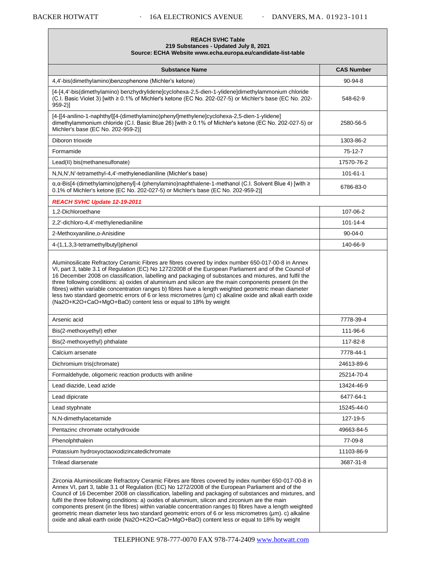| <b>REACH SVHC Table</b><br>219 Substances - Updated July 8, 2021<br>Source: ECHA Website www.echa.europa.eu/candidate-list-table                                                                                                                                                                                                                                                                                                                                                                                                                                                                                                                                                                                                             |                   |
|----------------------------------------------------------------------------------------------------------------------------------------------------------------------------------------------------------------------------------------------------------------------------------------------------------------------------------------------------------------------------------------------------------------------------------------------------------------------------------------------------------------------------------------------------------------------------------------------------------------------------------------------------------------------------------------------------------------------------------------------|-------------------|
| <b>Substance Name</b>                                                                                                                                                                                                                                                                                                                                                                                                                                                                                                                                                                                                                                                                                                                        | <b>CAS Number</b> |
| 4.4'-bis(dimethylamino)benzophenone (Michler's ketone)                                                                                                                                                                                                                                                                                                                                                                                                                                                                                                                                                                                                                                                                                       | 90-94-8           |
| [4-[4,4'-bis(dimethylamino) benzhydrylidene]cyclohexa-2,5-dien-1-ylidene]dimethylammonium chloride<br>(C.I. Basic Violet 3) [with ≥ 0.1% of Michler's ketone (EC No. 202-027-5) or Michler's base (EC No. 202-<br>$959-2$ ]                                                                                                                                                                                                                                                                                                                                                                                                                                                                                                                  | 548-62-9          |
| [4-[[4-anilino-1-naphthyl][4-(dimethylamino)phenyl]methylene]cyclohexa-2,5-dien-1-ylidene]<br>dimethylammonium chloride (C.I. Basic Blue 26) [with ≥ 0.1% of Michler's ketone (EC No. 202-027-5) or<br>Michler's base (EC No. 202-959-2)]                                                                                                                                                                                                                                                                                                                                                                                                                                                                                                    | 2580-56-5         |
| Diboron trioxide                                                                                                                                                                                                                                                                                                                                                                                                                                                                                                                                                                                                                                                                                                                             | 1303-86-2         |
| Formamide                                                                                                                                                                                                                                                                                                                                                                                                                                                                                                                                                                                                                                                                                                                                    | 75-12-7           |
| Lead(II) bis(methanesulfonate)                                                                                                                                                                                                                                                                                                                                                                                                                                                                                                                                                                                                                                                                                                               | 17570-76-2        |
| N,N,N',N'-tetramethyl-4,4'-methylenedianiline (Michler's base)                                                                                                                                                                                                                                                                                                                                                                                                                                                                                                                                                                                                                                                                               | $101 - 61 - 1$    |
| α,α-Bis[4-(dimethylamino)phenyl]-4 (phenylamino)naphthalene-1-methanol (C.I. Solvent Blue 4) [with ≥<br>0.1% of Michler's ketone (EC No. 202-027-5) or Michler's base (EC No. 202-959-2)]                                                                                                                                                                                                                                                                                                                                                                                                                                                                                                                                                    | 6786-83-0         |
| REACH SVHC Update 12-19-2011                                                                                                                                                                                                                                                                                                                                                                                                                                                                                                                                                                                                                                                                                                                 |                   |
| 1,2-Dichloroethane                                                                                                                                                                                                                                                                                                                                                                                                                                                                                                                                                                                                                                                                                                                           | 107-06-2          |
| 2,2'-dichloro-4,4'-methylenedianiline                                                                                                                                                                                                                                                                                                                                                                                                                                                                                                                                                                                                                                                                                                        | $101 - 14 - 4$    |
| 2-Methoxyaniline, o-Anisidine                                                                                                                                                                                                                                                                                                                                                                                                                                                                                                                                                                                                                                                                                                                | $90 - 04 - 0$     |
| 4-(1,1,3,3-tetramethylbutyl)phenol                                                                                                                                                                                                                                                                                                                                                                                                                                                                                                                                                                                                                                                                                                           | 140-66-9          |
| Aluminosilicate Refractory Ceramic Fibres are fibres covered by index number 650-017-00-8 in Annex<br>VI, part 3, table 3.1 of Regulation (EC) No 1272/2008 of the European Parliament and of the Council of<br>16 December 2008 on classification, labelling and packaging of substances and mixtures, and fulfil the<br>three following conditions: a) oxides of aluminium and silicon are the main components present (in the<br>fibres) within variable concentration ranges b) fibres have a length weighted geometric mean diameter<br>less two standard geometric errors of 6 or less micrometres ( $\mu$ m) c) alkaline oxide and alkali earth oxide<br>(Na2O+K2O+CaO+MgO+BaO) content less or equal to 18% by weight                |                   |
| Arsenic acid                                                                                                                                                                                                                                                                                                                                                                                                                                                                                                                                                                                                                                                                                                                                 | 7778-39-4         |
| Bis(2-methoxyethyl) ether                                                                                                                                                                                                                                                                                                                                                                                                                                                                                                                                                                                                                                                                                                                    | 111-96-6          |
| Bis(2-methoxyethyl) phthalate                                                                                                                                                                                                                                                                                                                                                                                                                                                                                                                                                                                                                                                                                                                | 117-82-8          |
| Calcium arsenate                                                                                                                                                                                                                                                                                                                                                                                                                                                                                                                                                                                                                                                                                                                             | 7778-44-1         |
| Dichromium tris(chromate)                                                                                                                                                                                                                                                                                                                                                                                                                                                                                                                                                                                                                                                                                                                    | 24613-89-6        |
| Formaldehyde, oligomeric reaction products with aniline                                                                                                                                                                                                                                                                                                                                                                                                                                                                                                                                                                                                                                                                                      | 25214-70-4        |
| Lead diazide, Lead azide                                                                                                                                                                                                                                                                                                                                                                                                                                                                                                                                                                                                                                                                                                                     | 13424-46-9        |
| Lead dipicrate                                                                                                                                                                                                                                                                                                                                                                                                                                                                                                                                                                                                                                                                                                                               | 6477-64-1         |
| Lead styphnate                                                                                                                                                                                                                                                                                                                                                                                                                                                                                                                                                                                                                                                                                                                               | 15245-44-0        |
| N,N-dimethylacetamide                                                                                                                                                                                                                                                                                                                                                                                                                                                                                                                                                                                                                                                                                                                        | 127-19-5          |
| Pentazinc chromate octahydroxide                                                                                                                                                                                                                                                                                                                                                                                                                                                                                                                                                                                                                                                                                                             | 49663-84-5        |
| Phenolphthalein                                                                                                                                                                                                                                                                                                                                                                                                                                                                                                                                                                                                                                                                                                                              | 77-09-8           |
| Potassium hydroxyoctaoxodizincatedichromate                                                                                                                                                                                                                                                                                                                                                                                                                                                                                                                                                                                                                                                                                                  | 11103-86-9        |
| Trilead diarsenate                                                                                                                                                                                                                                                                                                                                                                                                                                                                                                                                                                                                                                                                                                                           | 3687-31-8         |
| Zirconia Aluminosilicate Refractory Ceramic Fibres are fibres covered by index number 650-017-00-8 in<br>Annex VI, part 3, table 3.1 of Regulation (EC) No 1272/2008 of the European Parliament and of the<br>Council of 16 December 2008 on classification, labelling and packaging of substances and mixtures, and<br>fulfil the three following conditions: a) oxides of aluminium, silicon and zirconium are the main<br>components present (in the fibres) within variable concentration ranges b) fibres have a length weighted<br>geometric mean diameter less two standard geometric errors of 6 or less micrometres (µm). c) alkaline<br>oxide and alkali earth oxide (Na2O+K2O+CaO+MgO+BaO) content less or equal to 18% by weight |                   |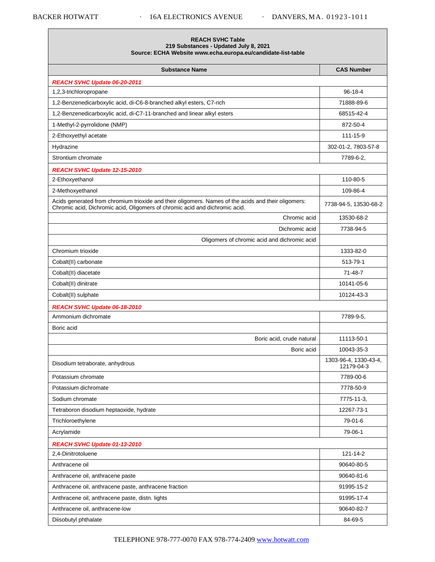Г

| 219 Substances - Updated July 8, 2021<br>Source: ECHA Website www.echa.europa.eu/candidate-list-table                                                                              |                                     |
|------------------------------------------------------------------------------------------------------------------------------------------------------------------------------------|-------------------------------------|
| <b>Substance Name</b>                                                                                                                                                              | <b>CAS Number</b>                   |
| REACH SVHC Update 06-20-2011                                                                                                                                                       |                                     |
| 1,2,3-trichloropropane                                                                                                                                                             | $96 - 18 - 4$                       |
| 1,2-Benzenedicarboxylic acid, di-C6-8-branched alkyl esters, C7-rich                                                                                                               | 71888-89-6                          |
| 1,2-Benzenedicarboxylic acid, di-C7-11-branched and linear alkyl esters                                                                                                            | 68515-42-4                          |
| 1-Methyl-2-pyrrolidone (NMP)                                                                                                                                                       | 872-50-4                            |
| 2-Ethoxyethyl acetate                                                                                                                                                              | 111-15-9                            |
| Hydrazine                                                                                                                                                                          | 302-01-2, 7803-57-8                 |
| Strontium chromate                                                                                                                                                                 | 7789-6-2.                           |
| REACH SVHC Update 12-15-2010                                                                                                                                                       |                                     |
| 2-Ethoxyethanol                                                                                                                                                                    | 110-80-5                            |
| 2-Methoxyethanol                                                                                                                                                                   | 109-86-4                            |
| Acids generated from chromium trioxide and their oligomers. Names of the acids and their oligomers:<br>Chromic acid, Dichromic acid, Oligomers of chromic acid and dichromic acid. | 7738-94-5, 13530-68-2               |
| Chromic acid                                                                                                                                                                       | 13530-68-2                          |
| Dichromic acid                                                                                                                                                                     | 7738-94-5                           |
| Oligomers of chromic acid and dichromic acid                                                                                                                                       |                                     |
| Chromium trioxide                                                                                                                                                                  | 1333-82-0                           |
| Cobalt(II) carbonate                                                                                                                                                               | 513-79-1                            |
| Cobalt(II) diacetate                                                                                                                                                               | 71-48-7                             |
| Cobalt(II) dinitrate                                                                                                                                                               | 10141-05-6                          |
| Cobalt(II) sulphate                                                                                                                                                                | 10124-43-3                          |
| REACH SVHC Update 06-18-2010                                                                                                                                                       |                                     |
| Ammonium dichromate                                                                                                                                                                | 7789-9-5.                           |
| Boric acid                                                                                                                                                                         |                                     |
| Boric acid, crude natural                                                                                                                                                          | 11113-50-1                          |
| Boric acid                                                                                                                                                                         | 10043-35-3                          |
| Disodium tetraborate, anhydrous                                                                                                                                                    | 1303-96-4, 1330-43-4,<br>12179-04-3 |
| Potassium chromate                                                                                                                                                                 | 7789-00-6                           |
| Potassium dichromate                                                                                                                                                               | 7778-50-9                           |
| Sodium chromate                                                                                                                                                                    | 7775-11-3,                          |
| Tetraboron disodium heptaoxide, hydrate                                                                                                                                            | 12267-73-1                          |
| Trichloroethylene                                                                                                                                                                  | 79-01-6                             |
| Acrylamide                                                                                                                                                                         | 79-06-1                             |
| REACH SVHC Update 01-13-2010                                                                                                                                                       |                                     |
| 2,4-Dinitrotoluene                                                                                                                                                                 | 121-14-2                            |
| Anthracene oil                                                                                                                                                                     | 90640-80-5                          |
| Anthracene oil, anthracene paste                                                                                                                                                   | 90640-81-6                          |
| Anthracene oil, anthracene paste, anthracene fraction                                                                                                                              | 91995-15-2                          |
| Anthracene oil, anthracene paste, distn. lights                                                                                                                                    | 91995-17-4                          |
| Anthracene oil, anthracene-low                                                                                                                                                     | 90640-82-7                          |
| Diisobutyl phthalate                                                                                                                                                               | 84-69-5                             |